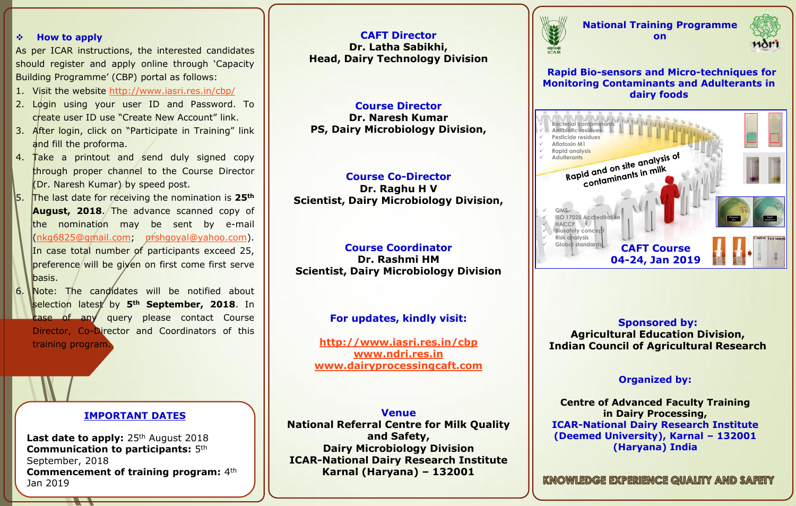#### **How to apply**

As per ICAR instructions, the interested candidates should register and apply online through 'Capacity Building Programme' (CBP) portal as follows:

- 1. Visit the website <http://www.iasri.res.in/cbp/>
- 2. Login using your user ID and Password. To create user ID use "Create New Account" link.
- 3. After login, click on "Participate in Training" link and fill the proforma.
- 4. Take a printout and send duly signed copy through proper channel to the Course Director (Dr. Naresh Kumar) by speed post.
- 5. The last date for receiving the nomination is **25th August, 2018**. The advance scanned copy of the nomination may be sent by e-mail [\(nkg6825@gmail.com;](mailto:nkg6825@gmail.com) [nrshgoyal@yahoo.com\)](mailto:nrshgoyal@yahoo.com). In case total number of participants exceed 25, preference will be given on first come first serve basis.
- 6. Note: The candidates will be notified about selection latest by **5th September, 2018**. In **case of any** query please contact Course Director, Co-Director and Coordinators of this training program.

# **IMPORTANT DATES**

Last date to apply: 25<sup>th</sup> August 2018 **Communication to participants:** 5th September, 2018 **Commencement of training program:** 4th Jan 2019

**CAFT Director Dr. Latha Sabikhi, Head, Dairy Technology Division**

# **Course Director**

**Dr. Naresh Kumar PS, Dairy Microbiology Division,** 

### **Course Co-Director Dr. Raghu H V Scientist, Dairy Microbiology Division,**

### **Course Coordinator Dr. Rashmi HM Scientist, Dairy Microbiology Division**

## **For updates, kindly visit:**

**<http://www.iasri.res.in/cbp> [www.ndri.res.in](http://www.ndri.res.in/) [www.dairyprocessingcaft.com](http://www.dairyprocessingcaft.com/)**

**Venue National Referral Centre for Milk Quality and Safety, Dairy Microbiology Division ICAR-National Dairy Research Institute Karnal (Haryana) – 132001**



**National Training Programme on**



**Rapid Bio-sensors and Micro-techniques for Monitoring Contaminants and Adulterants in dairy foods** 



**Sponsored by: Agricultural Education Division, Indian Council of Agricultural Research** 

### **Organized by:**

**Centre of Advanced Faculty Training in Dairy Processing, ICAR-National Dairy Research Institute (Deemed University), Karnal – 132001 (Haryana) India** 

KNOWLEDGE EXPERIENCE QUALITY AND SAFETY